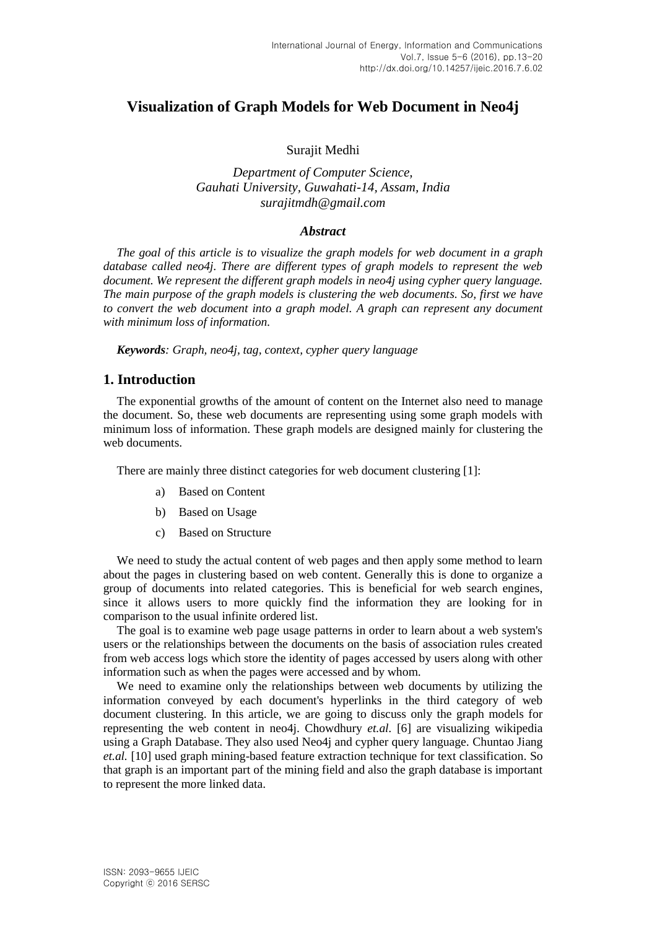## **Visualization of Graph Models for Web Document in Neo4j**

#### Surajit Medhi

## *Department of Computer Science, Gauhati University, Guwahati-14, Assam, India surajitmdh@gmail.com*

#### *Abstract*

*The goal of this article is to visualize the graph models for web document in a graph database called neo4j. There are different types of graph models to represent the web document. We represent the different graph models in neo4j using cypher query language. The main purpose of the graph models is clustering the web documents. So, first we have*  to convert the web document into a graph model. A graph can represent any document *with minimum loss of information.*

*Keywords: Graph, neo4j, tag, context, cypher query language*

### **1. Introduction**

The exponential growths of the amount of content on the Internet also need to manage the document. So, these web documents are representing using some graph models with minimum loss of information. These graph models are designed mainly for clustering the web documents.

There are mainly three distinct categories for web document clustering [1]:

- a) Based on Content
- b) Based on Usage
- c) Based on Structure

We need to study the actual content of web pages and then apply some method to learn about the pages in clustering based on web content. Generally this is done to organize a group of documents into related categories. This is beneficial for web search engines, since it allows users to more quickly find the information they are looking for in comparison to the usual infinite ordered list.

The goal is to examine web page usage patterns in order to learn about a web system's users or the relationships between the documents on the basis of association rules created from web access logs which store the identity of pages accessed by users along with other information such as when the pages were accessed and by whom.

We need to examine only the relationships between web documents by utilizing the information conveyed by each document's hyperlinks in the third category of web document clustering. In this article, we are going to discuss only the graph models for representing the web content in neo4j. Chowdhury *et.al.* [6] are visualizing wikipedia using a Graph Database. They also used Neo4j and cypher query language. Chuntao Jiang *et.al.* [10] used graph mining-based feature extraction technique for text classification. So that graph is an important part of the mining field and also the graph database is important to represent the more linked data.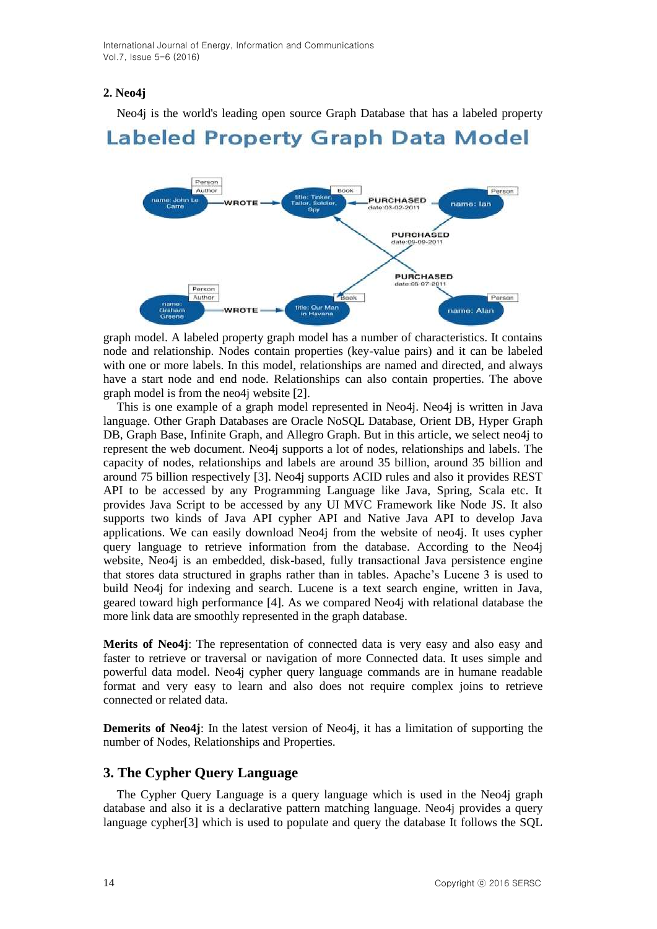## **2. Neo4j**

Neo4j is the world's leading open source Graph Database that has a labeled property

# Labeled Property Graph Data Model



graph model. A labeled property graph model has a number of characteristics. It contains node and relationship. Nodes contain properties (key-value pairs) and it can be labeled with one or more labels. In this model, relationships are named and directed, and always have a start node and end node. Relationships can also contain properties. The above graph model is from the neo4j website [2].

This is one example of a graph model represented in Neo4j. Neo4j is written in Java language. Other Graph Databases are Oracle NoSQL Database, Orient DB, Hyper Graph DB, Graph Base, Infinite Graph, and Allegro Graph. But in this article, we select neo4j to represent the web document. Neo4j supports a lot of nodes, relationships and labels. The capacity of nodes, relationships and labels are around 35 billion, around 35 billion and around 75 billion respectively [3]. Neo4j supports ACID rules and also it provides REST API to be accessed by any Programming Language like Java, Spring, Scala etc. It provides Java Script to be accessed by any UI MVC Framework like Node JS. It also supports two kinds of Java API cypher API and Native Java API to develop Java applications. We can easily download Neo4j from the website of neo4j. It uses cypher query language to retrieve information from the database. According to the Neo4j website, Neo4j is an embedded, disk-based, fully transactional Java persistence engine that stores data structured in graphs rather than in tables. Apache's Lucene 3 is used to build Neo4j for indexing and search. Lucene is a text search engine, written in Java, geared toward high performance [4]. As we compared Neo4j with relational database the more link data are smoothly represented in the graph database.

**Merits of Neo4j**: The representation of connected data is very easy and also easy and faster to retrieve or traversal or navigation of more Connected data. It uses simple and powerful data model. Neo4j cypher query language commands are in humane readable format and very easy to learn and also does not require complex joins to retrieve connected or related data.

**Demerits of Neo4j:** In the latest version of Neo4j, it has a limitation of supporting the number of Nodes, Relationships and Properties.

## **3. The Cypher Query Language**

The Cypher Query Language is a query language which is used in the Neo4j graph database and also it is a declarative pattern matching language. Neo4j provides a query language cypher[3] which is used to populate and query the database It follows the SQL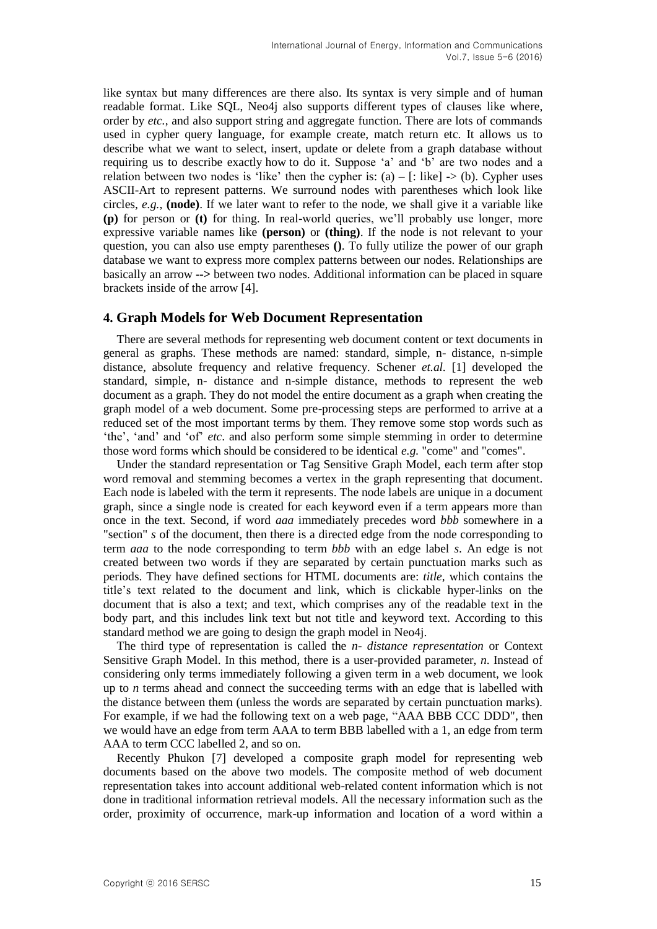like syntax but many differences are there also. Its syntax is very simple and of human readable format. Like SQL, Neo4j also supports different types of clauses like where, order by *etc.*, and also support string and aggregate function. There are lots of commands used in cypher query language, for example create, match return etc. It allows us to describe what we want to select, insert, update or delete from a graph database without requiring us to describe exactly how to do it. Suppose 'a' and 'b' are two nodes and a relation between two nodes is 'like' then the cypher is:  $(a) -$  [: like]  $\rightarrow$  (b). Cypher uses ASCII-Art to represent patterns. We surround nodes with parentheses which look like circles, *e.g.*, **(node)**. If we later want to refer to the node, we shall give it a variable like **(p)** for person or **(t)** for thing. In real-world queries, we'll probably use longer, more expressive variable names like **(person)** or **(thing)**. If the node is not relevant to your question, you can also use empty parentheses **()**. To fully utilize the power of our graph database we want to express more complex patterns between our nodes. Relationships are basically an arrow **-->** between two nodes. Additional information can be placed in square brackets inside of the arrow [4].

#### **4. Graph Models for Web Document Representation**

There are several methods for representing web document content or text documents in general as graphs. These methods are named: standard, simple, n- distance, n-simple distance, absolute frequency and relative frequency*.* Schener *et.al.* [1] developed the standard, simple, n- distance and n-simple distance, methods to represent the web document as a graph. They do not model the entire document as a graph when creating the graph model of a web document. Some pre-processing steps are performed to arrive at a reduced set of the most important terms by them. They remove some stop words such as 'the', 'and' and 'of' *etc*. and also perform some simple stemming in order to determine those word forms which should be considered to be identical *e.g.* "come" and "comes".

Under the standard representation or Tag Sensitive Graph Model, each term after stop word removal and stemming becomes a vertex in the graph representing that document. Each node is labeled with the term it represents. The node labels are unique in a document graph, since a single node is created for each keyword even if a term appears more than once in the text. Second, if word *aaa* immediately precedes word *bbb* somewhere in a "section" *s* of the document, then there is a directed edge from the node corresponding to term *aaa* to the node corresponding to term *bbb* with an edge label *s*. An edge is not created between two words if they are separated by certain punctuation marks such as periods. They have defined sections for HTML documents are: *title,* which contains the title's text related to the document and link*,* which is clickable hyper-links on the document that is also a text; and text*,* which comprises any of the readable text in the body part, and this includes link text but not title and keyword text. According to this standard method we are going to design the graph model in Neo4j.

The third type of representation is called the *n- distance representation* or Context Sensitive Graph Model. In this method, there is a user-provided parameter, *n*. Instead of considering only terms immediately following a given term in a web document, we look up to *n* terms ahead and connect the succeeding terms with an edge that is labelled with the distance between them (unless the words are separated by certain punctuation marks). For example, if we had the following text on a web page, "AAA BBB CCC DDD", then we would have an edge from term AAA to term BBB labelled with a 1, an edge from term AAA to term CCC labelled 2, and so on.

Recently Phukon [7] developed a composite graph model for representing web documents based on the above two models. The composite method of web document representation takes into account additional web-related content information which is not done in traditional information retrieval models. All the necessary information such as the order, proximity of occurrence, mark-up information and location of a word within a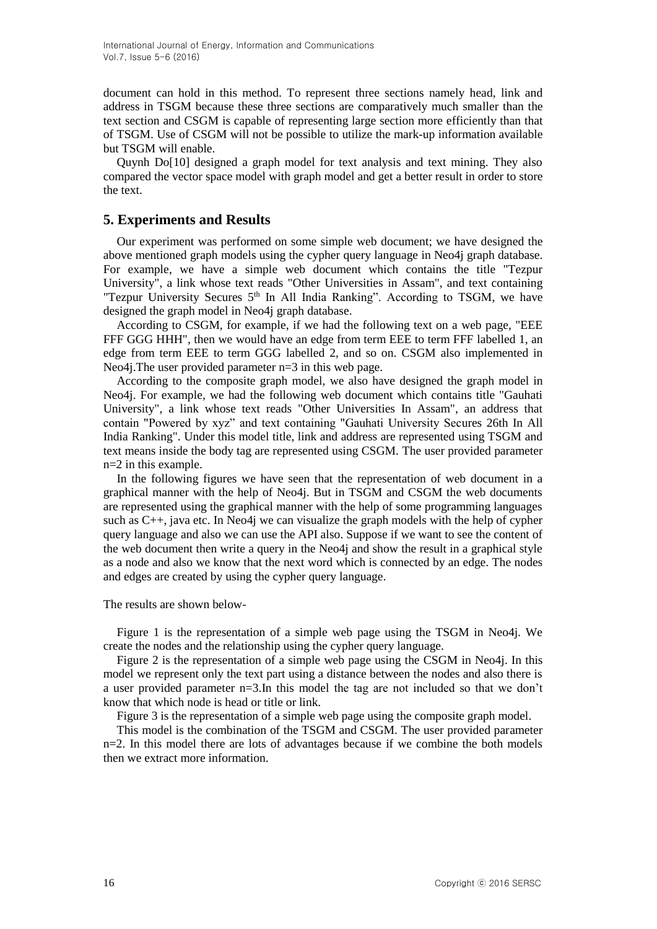document can hold in this method. To represent three sections namely head, link and address in TSGM because these three sections are comparatively much smaller than the text section and CSGM is capable of representing large section more efficiently than that of TSGM. Use of CSGM will not be possible to utilize the mark-up information available but TSGM will enable.

Quynh Do[10] designed a graph model for text analysis and text mining. They also compared the vector space model with graph model and get a better result in order to store the text.

## **5. Experiments and Results**

Our experiment was performed on some simple web document; we have designed the above mentioned graph models using the cypher query language in Neo4j graph database. For example, we have a simple web document which contains the title "Tezpur University", a link whose text reads "Other Universities in Assam", and text containing "Tezpur University Secures 5<sup>th</sup> In All India Ranking". According to TSGM, we have designed the graph model in Neo4j graph database.

According to CSGM, for example, if we had the following text on a web page, "EEE FFF GGG HHH", then we would have an edge from term EEE to term FFF labelled 1, an edge from term EEE to term GGG labelled 2, and so on. CSGM also implemented in Neo4j. The user provided parameter  $n=3$  in this web page.

According to the composite graph model, we also have designed the graph model in Neo4j. For example, we had the following web document which contains title "Gauhati University", a link whose text reads "Other Universities In Assam", an address that contain "Powered by xyz" and text containing "Gauhati University Secures 26th In All India Ranking". Under this model title, link and address are represented using TSGM and text means inside the body tag are represented using CSGM. The user provided parameter n=2 in this example.

In the following figures we have seen that the representation of web document in a graphical manner with the help of Neo4j. But in TSGM and CSGM the web documents are represented using the graphical manner with the help of some programming languages such as C++, java etc. In Neo4j we can visualize the graph models with the help of cypher query language and also we can use the API also. Suppose if we want to see the content of the web document then write a query in the Neo4j and show the result in a graphical style as a node and also we know that the next word which is connected by an edge. The nodes and edges are created by using the cypher query language.

The results are shown below-

Figure 1 is the representation of a simple web page using the TSGM in Neo4j. We create the nodes and the relationship using the cypher query language.

Figure 2 is the representation of a simple web page using the CSGM in Neo4j. In this model we represent only the text part using a distance between the nodes and also there is a user provided parameter n=3.In this model the tag are not included so that we don't know that which node is head or title or link.

Figure 3 is the representation of a simple web page using the composite graph model.

This model is the combination of the TSGM and CSGM. The user provided parameter n=2. In this model there are lots of advantages because if we combine the both models then we extract more information.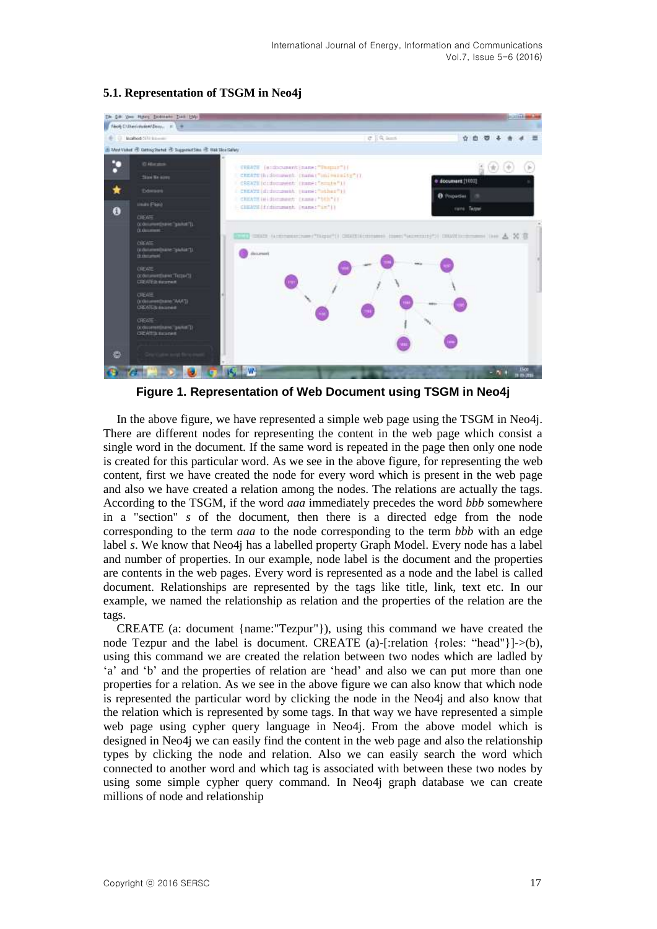

#### **5.1. Representation of TSGM in Neo4j**

**Figure 1. Representation of Web Document using TSGM in Neo4j**

In the above figure, we have represented a simple web page using the TSGM in Neo4j. There are different nodes for representing the content in the web page which consist a single word in the document. If the same word is repeated in the page then only one node is created for this particular word. As we see in the above figure, for representing the web content, first we have created the node for every word which is present in the web page and also we have created a relation among the nodes. The relations are actually the tags. According to the TSGM, if the word *aaa* immediately precedes the word *bbb* somewhere in a "section" *s* of the document, then there is a directed edge from the node corresponding to the term *aaa* to the node corresponding to the term *bbb* with an edge label *s*. We know that Neo4j has a labelled property Graph Model. Every node has a label and number of properties. In our example, node label is the document and the properties are contents in the web pages. Every word is represented as a node and the label is called document. Relationships are represented by the tags like title, link, text etc. In our example, we named the relationship as relation and the properties of the relation are the tags.

CREATE (a: document {name:"Tezpur"}), using this command we have created the node Tezpur and the label is document. CREATE (a)-[:relation {roles: "head"}]->(b), using this command we are created the relation between two nodes which are ladled by 'a' and 'b' and the properties of relation are 'head' and also we can put more than one properties for a relation. As we see in the above figure we can also know that which node is represented the particular word by clicking the node in the Neo4j and also know that the relation which is represented by some tags. In that way we have represented a simple web page using cypher query language in Neo4j. From the above model which is designed in Neo4j we can easily find the content in the web page and also the relationship types by clicking the node and relation. Also we can easily search the word which connected to another word and which tag is associated with between these two nodes by using some simple cypher query command. In Neo4j graph database we can create millions of node and relationship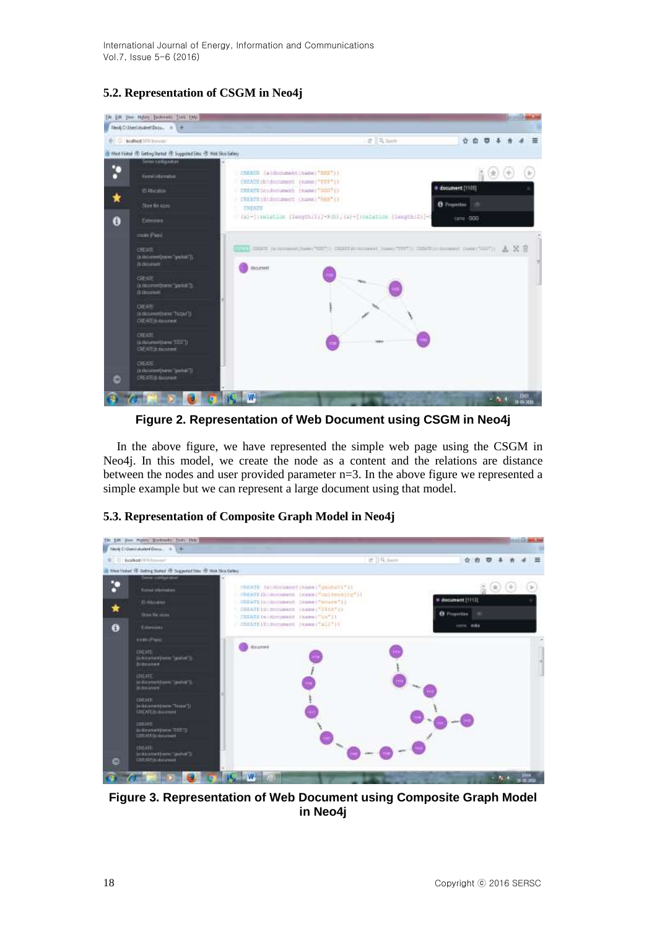International Journal of Energy, Information and Communications Vol.7, Issue 5-6 (2016)

## **5.2. Representation of CSGM in Neo4j**



**Figure 2. Representation of Web Document using CSGM in Neo4j**

In the above figure, we have represented the simple web page using the CSGM in Neo4j. In this model, we create the node as a content and the relations are distance between the nodes and user provided parameter n=3. In the above figure we represented a simple example but we can represent a large document using that model.



#### **5.3. Representation of Composite Graph Model in Neo4j**

**Figure 3. Representation of Web Document using Composite Graph Model in Neo4j**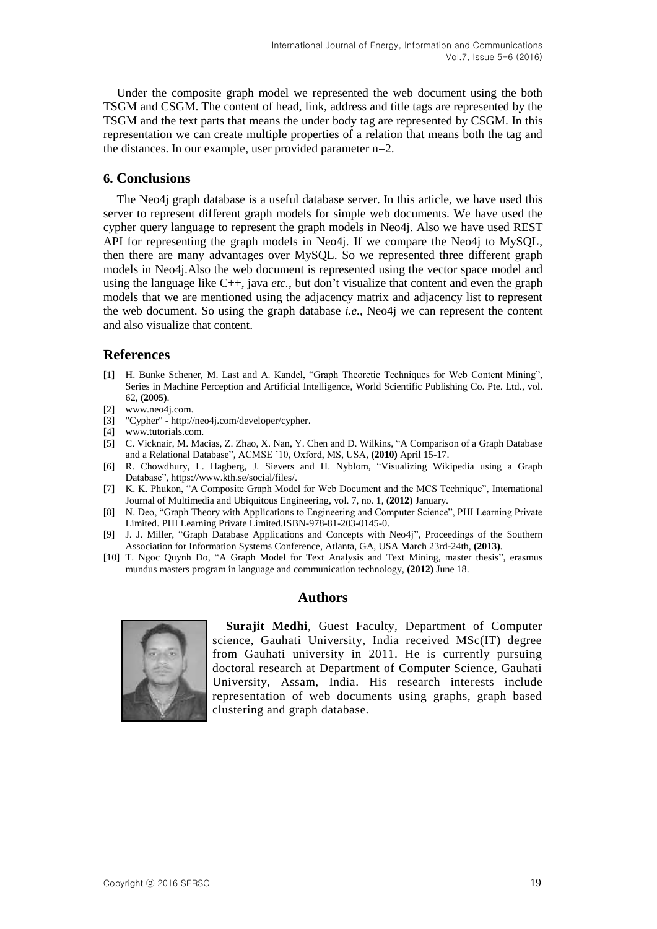Under the composite graph model we represented the web document using the both TSGM and CSGM. The content of head, link, address and title tags are represented by the TSGM and the text parts that means the under body tag are represented by CSGM. In this representation we can create multiple properties of a relation that means both the tag and the distances. In our example, user provided parameter n=2.

#### **6. Conclusions**

The Neo4j graph database is a useful database server. In this article, we have used this server to represent different graph models for simple web documents. We have used the cypher query language to represent the graph models in Neo4j. Also we have used REST API for representing the graph models in Neo4j. If we compare the Neo4j to MySQL, then there are many advantages over MySQL. So we represented three different graph models in Neo4j.Also the web document is represented using the vector space model and using the language like C++, java *etc.*, but don't visualize that content and even the graph models that we are mentioned using the adjacency matrix and adjacency list to represent the web document. So using the graph database *i.e.*, Neo4j we can represent the content and also visualize that content.

## **References**

- [1] H. Bunke Schener, M. Last and A. Kandel, "Graph Theoretic Techniques for Web Content Mining", Series in Machine Perception and Artificial Intelligence, World Scientific Publishing Co. Pte. Ltd., vol. 62, **(2005)**.
- [2] www.neo4j.com.
- [3] "Cypher" http://neo4j.com/developer/cypher.
- $[4]$  www.tutorials.com.
- [5] C. Vicknair, M. Macias, Z. Zhao, X. Nan, Y. Chen and D. Wilkins, "A Comparison of a Graph Database and a Relational Database", ACMSE '10, Oxford, MS, USA, **(2010)** April 15-17.
- [6] R. Chowdhury, L. Hagberg, J. Sievers and H. Nyblom, "Visualizing Wikipedia using a Graph Database", https://www.kth.se/social/files/.
- [7] K. K. Phukon, "A Composite Graph Model for Web Document and the MCS Technique", International Journal of Multimedia and Ubiquitous Engineering, vol. 7, no. 1, **(2012)** January.
- [8] N. Deo, "Graph Theory with Applications to Engineering and Computer Science", PHI Learning Private Limited. PHI Learning Private Limited.ISBN-978-81-203-0145-0.
- [9] J. J. Miller, "Graph Database Applications and Concepts with Neo4j", Proceedings of the Southern Association for Information Systems Conference, Atlanta, GA, USA March 23rd-24th, **(2013)**.
- [10] T. Ngoc Quynh Do, "A Graph Model for Text Analysis and Text Mining, master thesis", erasmus mundus masters program in language and communication technology, **(2012)** June 18.

#### **Authors**



**Surajit Medhi**, Guest Faculty, Department of Computer science, Gauhati University, India received MSc(IT) degree from Gauhati university in 2011. He is currently pursuing doctoral research at Department of Computer Science, Gauhati University, Assam, India. His research interests include representation of web documents using graphs, graph based clustering and graph database.